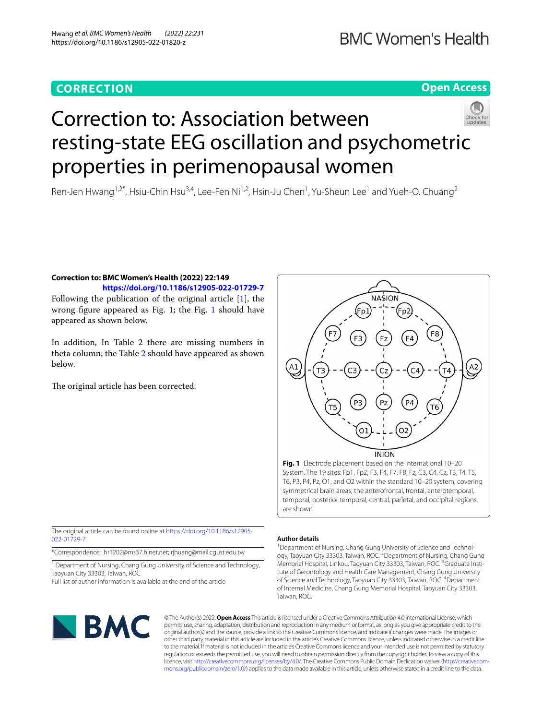### **CORRECTION**

## **BMC Women's Health**

#### **Open Access**



# Correction to: Association between resting-state EEG oscillation and psychometric properties in perimenopausal women

Ren-Jen Hwang<sup>1,2\*</sup>, Hsiu-Chin Hsu<sup>3,4</sup>, Lee-Fen Ni<sup>1,2</sup>, Hsin-Ju Chen<sup>1</sup>, Yu-Sheun Lee<sup>1</sup> and Yueh-O. Chuang<sup>2</sup>

#### **Correction to: BMC Women's Health (2022) 22:149 <https://doi.org/10.1186/s12905-022-01729-7>**

Following the publication of the original article [\[1](#page-2-0)], the wrong fgure appeared as Fig. 1; the Fig. [1](#page-0-0) should have appeared as shown below.

In addition, In Table 2 there are missing numbers in theta column; the Table [2](#page-1-0) should have appeared as shown below.

The original article has been corrected.



<span id="page-0-0"></span>**Fig. 1** Electrode placement based on the International 10–20 System. The 19 sites: Fp1, Fp2, F3, F4, F7, F8, Fz, C3, C4, Cz, T3, T4, T5, T6, P3, P4, Pz, O1, and O2 within the standard 10–20 system, covering symmetrical brain areas; the anterofrontal, frontal, anterotemporal, temporal, posterior temporal, central, parietal, and occipital regions, are shown

The original article can be found online at [https://doi.org/10.1186/s12905-](https://doi.org/10.1186/s12905-022-01729-7) [022-01729-7](https://doi.org/10.1186/s12905-022-01729-7).

\*Correspondence: hr1202@ms37.hinet.net; rjhuang@mail.cgust.edu.tw

<sup>1</sup> Department of Nursing, Chang Gung University of Science and Technology, Taoyuan City 33303, Taiwan, ROC

Full list of author information is available at the end of the article

#### **Author details**

<sup>1</sup> Department of Nursing, Chang Gung University of Science and Technology, Taoyuan City 33303, Taiwan, ROC.<sup>2</sup> Department of Nursing, Chang Gung Memorial Hospital, Linkou, Taoyuan City 33303, Taiwan, ROC. <sup>3</sup>Graduate Institute of Gerontology and Health Care Management, Chang Gung University of Science and Technology, Taoyuan City 33303, Taiwan, ROC. <sup>4</sup> Department of Internal Medicine, Chang Gung Memorial Hospital, Taoyuan City 33303, Taiwan, ROC.



© The Author(s) 2022. **Open Access** This article is licensed under a Creative Commons Attribution 4.0 International License, which permits use, sharing, adaptation, distribution and reproduction in any medium or format, as long as you give appropriate credit to the original author(s) and the source, provide a link to the Creative Commons licence, and indicate if changes were made. The images or other third party material in this article are included in the article's Creative Commons licence, unless indicated otherwise in a credit line to the material. If material is not included in the article's Creative Commons licence and your intended use is not permitted by statutory regulation or exceeds the permitted use, you will need to obtain permission directly from the copyright holder. To view a copy of this licence, visit [http://creativecommons.org/licenses/by/4.0/.](http://creativecommons.org/licenses/by/4.0/) The Creative Commons Public Domain Dedication waiver (http://creativecom[mons.org/publicdomain/zero/1.0/\)](http://creativecommons.org/publicdomain/zero/1.0/) applies to the data made available in this article, unless otherwise stated in a credit line to the data.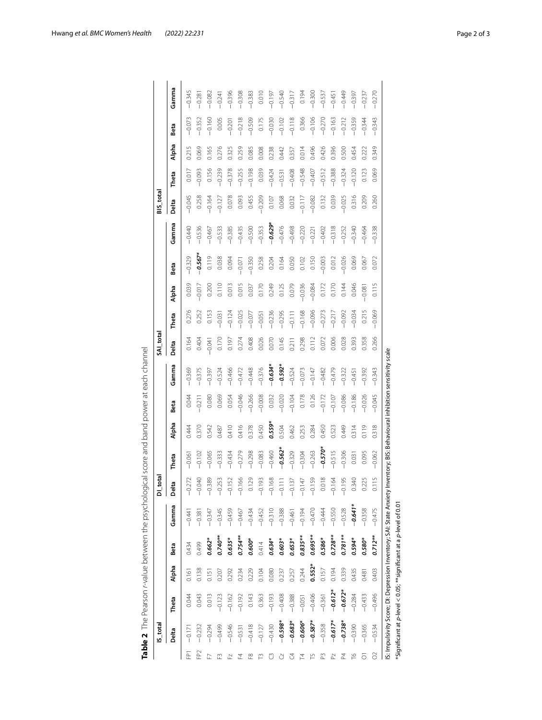<span id="page-1-0"></span>

|                    | IS_total  |           |          |            |           | DI_total                          |           |        |          |           | SAI_total |          |          |           |           | BIS_total |          |       |          |          |
|--------------------|-----------|-----------|----------|------------|-----------|-----------------------------------|-----------|--------|----------|-----------|-----------|----------|----------|-----------|-----------|-----------|----------|-------|----------|----------|
|                    | Delta     | Theta     | Alpha    | Beta       | Gamma     | $\sigma$<br>Deltë                 | Theta     | Alpha  | Beta     | Gamma     | Delta     | Theta    | Alpha    | Beta      | Gamma     | Delta     | Theta    | Alpha | Beta     | Gamma    |
| FP <sub>1</sub>    | $-0.171$  | 0.044     | 0.161    | 0.434      | $-0.441$  | $-0.272$                          | $-0.061$  | 0.444  | 0.044    | $-0.369$  | 0.164     | 0.276    | 0.039    | $-0.329$  | $-0.440$  | $-0.045$  | 0.017    | 0.215 | $-0.073$ | $-0.345$ |
| FP <sub>2</sub>    | $-0.232$  | 0.043     | 0.138    | 0.499      | $-0.381$  | $-0.040$                          | $-0.102$  | 0.370  | $-0.211$ | $-0.375$  | 0.404     | 0.252    | $-0.017$ | $-0.567*$ | $-0.536$  | 0.258     | $-0.093$ | 0.069 | $-0.352$ | $-0.281$ |
|                    | $-0.294$  | 0.013     | 0.151    | 0.662*     | $-0.347$  | $-0.389$                          | $-0.065$  | 0.542  | 0.080    | $-0.397$  | $-0.041$  | 0.153    | 0.200    | 0.119     | $-0.467$  | $-0.164$  | 0.156    | 0.165 | $-0.160$ | $-0.082$ |
|                    | $-0.499$  | $-0.123$  | 0.207    | $0.740**$  | $-0.345$  | $-0.253$                          | $-0.333$  | 0.487  | 0.069    | $-0.524$  | 0.170     | $-0.031$ | 0.110    | 0.038     | $-0.533$  | $-0.127$  | $-0.239$ | 0.276 | 0.005    | $-0.241$ |
|                    | $-0.546$  | $-0.162$  | 0.292    | 0.635*     | $-0.459$  | $-0.152$                          | $-0.434$  | 0.410  | 0.054    | $-0.466$  | 0.197     | $-0.124$ | 0.013    | 0.094     | $-0.385$  | 0.078     | $-0.378$ | 0.325 | $-0.201$ | $-0.396$ |
| 24                 | $-0.531$  | $-0.192$  | 0.234    | $0.754**$  | $-0.467$  | $-0.166$                          | $-0.279$  | 0.416  | $-0.046$ | $-0.472$  | 0.274     | $-0.025$ | 0.015    | $-0.071$  | $-0.435$  | 0.093     | $-0.255$ | 0.259 | $-0.218$ | $-0.308$ |
| ≌                  | $-0.418$  | 0.143     | 0.229    | $0.600*$   | $-0.434$  | 0.129                             | $-0.298$  | 0.378  | $-0.266$ | $-0.448$  | 0.408     | $-0.077$ | 0.037    | $-0.350$  | $-0.500$  | 0.455     | $-0.198$ | 0.085 | $-0.509$ | $-0.383$ |
|                    | $-0.127$  | 0.363     | 0.104    | 0.414      | $-0.452$  | $-0.193$                          | $-0.083$  | 0.450  | $-0.008$ | $-0.376$  | 0.026     | $-0.051$ | 0.170    | 0.258     | $-0.353$  | $-0.209$  | 0.039    | 0.008 | 0.175    | 0.010    |
|                    | $-0.430$  | $-0.193$  | 0.080    | $0.634*$   | $-0.310$  | $-0.168$                          | $-0.460$  | 0.559* | 0.032    | $-0.634*$ | 0.070     | $-0.236$ | 0.249    | 0.204     | $-0.629*$ | 0.107     | $-0.424$ | 0.238 | $-0.030$ | $-0.197$ |
|                    | $-0.598*$ | $-0.408$  | 0.237    | $0.603*$   | $-0.388$  | Ξ<br>$\overline{a}$               | $-0.562*$ | 0.504  | $-0.020$ | $-0.592*$ | 0.145     | $-0.295$ | 0.125    | 0.164     | $-0.476$  | 0.068     | $-0.531$ | 0.442 | $-0.102$ | $-0.540$ |
|                    | $-0.683*$ | $-0.388$  | 0.257    | 0.653*     | $-0.461$  | $\overline{37}$<br>$\overline{5}$ | $-0.329$  | 0.462  | $-0.104$ | $-0.524$  | 0.211     | $-0.111$ | 0.079    | 0.050     | $-0.498$  | 0.032     | $-0.408$ | 0.357 | $-0.118$ | $-0.317$ |
| 집                  | $-0.606*$ | $-0.051$  | 0.244    | $0.835***$ | $-0.194$  | $-0.147$                          | $-0.304$  | 0.253  | 0.178    | $-0.073$  | 0.298     | $-0.168$ | $-0.036$ | 0.102     | $-0.220$  | $-0.117$  | $-0.548$ | 0.014 | 0.366    | 0.194    |
|                    | $-0.587*$ | $-0.406$  | $0.552*$ | $0.695***$ | $-0.470$  | $-0.159$                          | $-0.263$  | 0.284  | 0.126    | $-0.147$  | 0.112     | $-0.096$ | $-0.084$ | 0.150     | $-0.221$  | $-0.082$  | $-0.407$ | 0.496 | $-0.106$ | $-0.300$ |
|                    | $-0.358$  | $-0.361$  | 0.157    | 0.586*     | $-0.444$  | 0.018                             | $-0.570*$ | 0.450  | $-0.172$ | $-0.482$  | 0.072     | $-0.273$ | 0.172    | $-0.003$  | $-0.402$  | 0.132     | $-0.512$ | 0.426 | $-0.270$ | $-0.537$ |
|                    | $-0.617*$ | $-0.612*$ | 0.194    | $0.728**$  | $-0.550$  | $-0.164$                          | $-0.515$  | 0.523  | $-0.107$ | $-0.479$  | 0.006     | $-0.217$ | 0.170    | 0.012     | $-0.318$  | 0.039     | $-0.388$ | 0.396 | $-0.163$ | $-0.451$ |
|                    | $-0.738*$ | $-0.672*$ | 0.339    | $0.781***$ | $-0.528$  | $-0.195$                          | $-0.306$  | 0.449  | $-0.086$ | $-0.322$  | 0.028     | $-0.092$ | 0.144    | $-0.026$  | $-0.252$  | $-0.025$  | $-0.324$ | 0.500 | $-0.212$ | $-0.449$ |
| ٩                  | $-0.390$  | $-0.284$  | 0.435    | $0.594*$   | $-0.641*$ | 0.340                             | 0.031     | 0.314  | $-0.186$ | $-0.451$  | 0.393     | $-0.034$ | 0.046    | 0.069     | $-0.340$  | 0.316     | $-0.120$ | 0.454 | $-0.359$ | $-0.397$ |
| $\overline{\circ}$ | $-0.365$  | $-0.433$  | 0.481    | $0.580*$   | $-0.358$  | 0.225                             | 0.095     | 0.119  | $-0.026$ | $-0.392$  | 0.358     | 0.215    | $-0.081$ | 0.067     | $-0.464$  | 0.209     | 0.123    | 0.222 | $-0.344$ | $-0.237$ |
| S                  | $-0.534$  | $-0.496$  | 0.403    | $0.712**$  | $-0.475$  | 0.115                             | $-0.062$  | 0.318  | $-0.045$ | $-0.343$  | 0.266     | $-0.069$ | 0.115    | 0.072     | $-0.338$  | 0.260     | 0.069    | 0.349 | $-0.343$ | $-0.270$ |